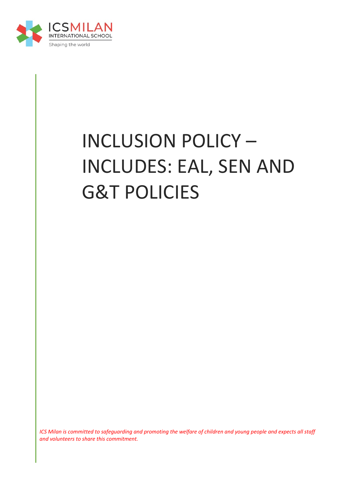

# INCLUSION POLICY – INCLUDES: EAL, SEN AND G&T POLICIES

*ICS Milan is committed to safeguarding and promoting the welfare of children and young people and expects all staff and volunteers to share this commitment.*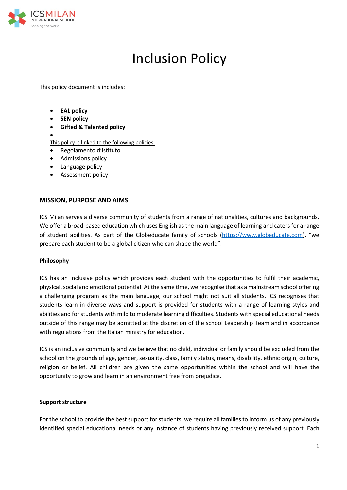

# Inclusion Policy

This policy document is includes:

- **EAL policy**
- **SEN policy**
- **Gifted & Talented policy**
- •

This policy is linked to the following policies:

- Regolamento d'istituto
- Admissions policy
- Language policy
- Assessment policy

#### **MISSION, PURPOSE AND AIMS**

ICS Milan serves a diverse community of students from a range of nationalities, cultures and backgrounds. We offer a broad-based education which uses English as the main language of learning and caters for a range of student abilities. As part of the Globeducate family of schools (https://www.globeducate.com), "we prepare each student to be a global citizen who can shape the world".

#### **Philosophy**

ICS has an inclusive policy which provides each student with the opportunities to fulfil their academic, physical, social and emotional potential. At the same time, we recognise that as a mainstream school offering a challenging program as the main language, our school might not suit all students. ICS recognises that students learn in diverse ways and support is provided for students with a range of learning styles and abilities and for students with mild to moderate learning difficulties. Students with special educational needs outside of this range may be admitted at the discretion of the school Leadership Team and in accordance with regulations from the Italian ministry for education.

ICS is an inclusive community and we believe that no child, individual or family should be excluded from the school on the grounds of age, gender, sexuality, class, family status, means, disability, ethnic origin, culture, religion or belief. All children are given the same opportunities within the school and will have the opportunity to grow and learn in an environment free from prejudice.

#### **Support structure**

For the school to provide the best support for students, we require all families to inform us of any previously identified special educational needs or any instance of students having previously received support. Each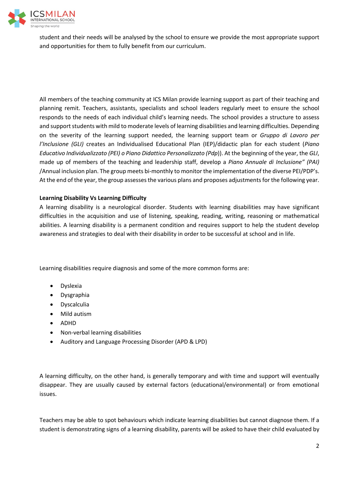

student and their needs will be analysed by the school to ensure we provide the most appropriate support and opportunities for them to fully benefit from our curriculum.

All members of the teaching community at ICS Milan provide learning support as part of their teaching and planning remit. Teachers, assistants, specialists and school leaders regularly meet to ensure the school responds to the needs of each individual child's learning needs. The school provides a structure to assess and support students with mild to moderate levels of learning disabilities and learning difficulties. Depending on the severity of the learning support needed, the learning support team or *Gruppo di Lavoro per l'Inclusione (GLI)* creates an Individualised Educational Plan (IEP)/didactic plan for each student (*Piano Educativo Individualizzato (PEI) o Piano Didattico Personalizzato (Pdp*)). At the beginning of the year, the *GLI*, made up of members of the teaching and leadership staff, develop a *Piano Annuale di Inclusione" (PAI)* /Annual inclusion plan. The group meets bi-monthly to monitor the implementation of the diverse PEI/PDP's. At the end of the year, the group assesses the various plans and proposes adjustments for the following year.

#### **Learning Disability Vs Learning Difficulty**

A learning disability is a neurological disorder. Students with learning disabilities may have significant difficulties in the acquisition and use of listening, speaking, reading, writing, reasoning or mathematical abilities. A learning disability is a permanent condition and requires support to help the student develop awareness and strategies to deal with their disability in order to be successful at school and in life.

Learning disabilities require diagnosis and some of the more common forms are:

- Dyslexia
- Dysgraphia
- Dyscalculia
- Mild autism
- ADHD
- Non-verbal learning disabilities
- Auditory and Language Processing Disorder (APD & LPD)

A learning difficulty, on the other hand, is generally temporary and with time and support will eventually disappear. They are usually caused by external factors (educational/environmental) or from emotional issues.

Teachers may be able to spot behaviours which indicate learning disabilities but cannot diagnose them. If a student is demonstrating signs of a learning disability, parents will be asked to have their child evaluated by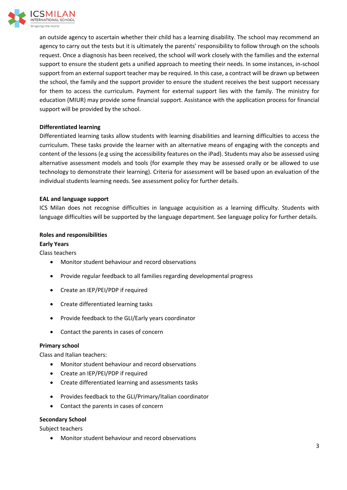

an outside agency to ascertain whether their child has a learning disability. The school may recommend an agency to carry out the tests but it is ultimately the parents' responsibility to follow through on the schools request. Once a diagnosis has been received, the school will work closely with the families and the external support to ensure the student gets a unified approach to meeting their needs. In some instances, in-school support from an external support teacher may be required. In this case, a contract will be drawn up between the school, the family and the support provider to ensure the student receives the best support necessary for them to access the curriculum. Payment for external support lies with the family. The ministry for education (MIUR) may provide some financial support. Assistance with the application process for financial support will be provided by the school.

# **Differentiated learning**

Differentiated learning tasks allow students with learning disabilities and learning difficulties to access the curriculum. These tasks provide the learner with an alternative means of engaging with the concepts and content of the lessons (e.g using the accessibility features on the iPad). Students may also be assessed using alternative assessment models and tools (for example they may be assessed orally or be allowed to use technology to demonstrate their learning). Criteria for assessment will be based upon an evaluation of the individual students learning needs. See assessment policy for further details.

# **EAL and language support**

ICS Milan does not recognise difficulties in language acquisition as a learning difficulty. Students with language difficulties will be supported by the language department. See language policy for further details.

# **Roles and responsibilities**

# **Early Years**

Class teachers

- Monitor student behaviour and record observations
- Provide regular feedback to all families regarding developmental progress
- Create an IEP/PEI/PDP if required
- Create differentiated learning tasks
- Provide feedback to the GLI/Early years coordinator
- Contact the parents in cases of concern

# **Primary school**

Class and Italian teachers:

- Monitor student behaviour and record observations
- Create an IEP/PEI/PDP if required
- Create differentiated learning and assessments tasks
- Provides feedback to the GLI/Primary/Italian coordinator
- Contact the parents in cases of concern

# **Secondary School**

Subject teachers

• Monitor student behaviour and record observations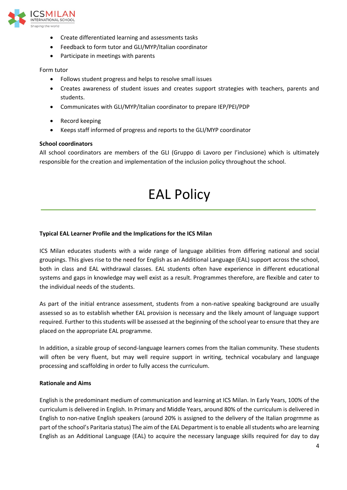

- Create differentiated learning and assessments tasks
- Feedback to form tutor and GLI/MYP/Italian coordinator
- Participate in meetings with parents

#### Form tutor

- Follows student progress and helps to resolve small issues
- Creates awareness of student issues and creates support strategies with teachers, parents and students.
- Communicates with GLI/MYP/Italian coordinator to prepare IEP/PEI/PDP
- Record keeping
- Keeps staff informed of progress and reports to the GLI/MYP coordinator

#### **School coordinators**

All school coordinators are members of the GLI (Gruppo di Lavoro per l'inclusione) which is ultimately responsible for the creation and implementation of the inclusion policy throughout the school.

# EAL Policy

#### **Typical EAL Learner Profile and the Implications for the ICS Milan**

ICS Milan educates students with a wide range of language abilities from differing national and social groupings. This gives rise to the need for English as an Additional Language (EAL) support across the school, both in class and EAL withdrawal classes. EAL students often have experience in different educational systems and gaps in knowledge may well exist as a result. Programmes therefore, are flexible and cater to the individual needs of the students.

As part of the initial entrance assessment, students from a non-native speaking background are usually assessed so as to establish whether EAL provision is necessary and the likely amount of language support required. Further to this students will be assessed at the beginning of the school year to ensure that they are placed on the appropriate EAL programme.

In addition, a sizable group of second-language learners comes from the Italian community. These students will often be very fluent, but may well require support in writing, technical vocabulary and language processing and scaffolding in order to fully access the curriculum.

#### **Rationale and Aims**

English is the predominant medium of communication and learning at ICS Milan. In Early Years, 100% of the curriculum is delivered in English. In Primary and Middle Years, around 80% of the curriculum is delivered in English to non-native English speakers (around 20% is assigned to the delivery of the Italian progrmme as part of the school's Paritaria status) The aim of the EAL Department is to enable all students who are learning English as an Additional Language (EAL) to acquire the necessary language skills required for day to day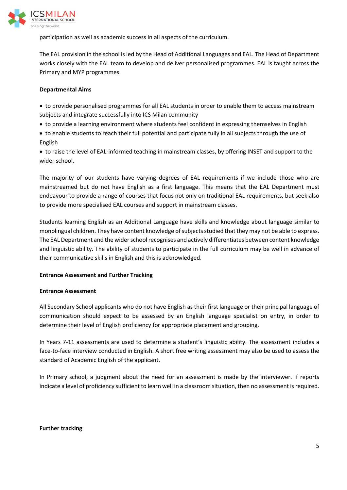

participation as well as academic success in all aspects of the curriculum.

The EAL provision in the school is led by the Head of Additional Languages and EAL. The Head of Department works closely with the EAL team to develop and deliver personalised programmes. EAL is taught across the Primary and MYP programmes.

#### **Departmental Aims**

- to provide personalised programmes for all EAL students in order to enable them to access mainstream subjects and integrate successfully into ICS Milan community
- to provide a learning environment where students feel confident in expressing themselves in English
- to enable students to reach their full potential and participate fully in all subjects through the use of English

• to raise the level of EAL-informed teaching in mainstream classes, by offering INSET and support to the wider school.

The majority of our students have varying degrees of EAL requirements if we include those who are mainstreamed but do not have English as a first language. This means that the EAL Department must endeavour to provide a range of courses that focus not only on traditional EAL requirements, but seek also to provide more specialised EAL courses and support in mainstream classes.

Students learning English as an Additional Language have skills and knowledge about language similar to monolingual children. They have content knowledge of subjects studied that they may not be able to express. The EAL Department and the wider school recognises and actively differentiates between content knowledge and linguistic ability. The ability of students to participate in the full curriculum may be well in advance of their communicative skills in English and this is acknowledged.

#### **Entrance Assessment and Further Tracking**

#### **Entrance Assessment**

All Secondary School applicants who do not have English as their first language or their principal language of communication should expect to be assessed by an English language specialist on entry, in order to determine their level of English proficiency for appropriate placement and grouping.

In Years 7-11 assessments are used to determine a student's linguistic ability. The assessment includes a face-to-face interview conducted in English. A short free writing assessment may also be used to assess the standard of Academic English of the applicant.

In Primary school, a judgment about the need for an assessment is made by the interviewer. If reports indicate a level of proficiency sufficient to learn well in a classroom situation, then no assessment is required.

#### **Further tracking**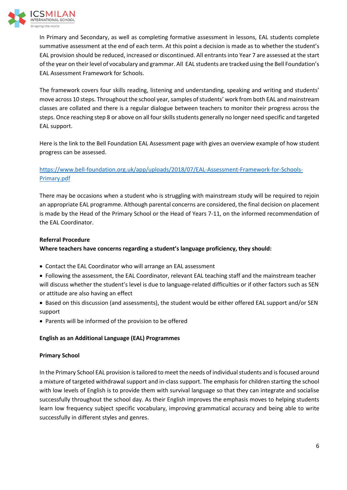

In Primary and Secondary, as well as completing formative assessment in lessons, EAL students complete summative assessment at the end of each term. At this point a decision is made as to whether the student's EAL provision should be reduced, increased or discontinued. All entrants into Year 7 are assessed at the start of the year on their level of vocabulary and grammar. All EAL students are tracked using the Bell Foundation's EAL Assessment Framework for Schools.

The framework covers four skills reading, listening and understanding, speaking and writing and students' move across 10 steps. Throughout the school year, samples of students' work from both EAL and mainstream classes are collated and there is a regular dialogue between teachers to monitor their progress across the steps. Once reaching step 8 or above on all four skills students generally no longer need specific and targeted EAL support.

Here is the link to the Bell Foundation EAL Assessment page with gives an overview example of how student progress can be assessed.

# https://www.bell-foundation.org.uk/app/uploads/2018/07/EAL-Assessment-Framework-for-Schools-Primary.pdf

There may be occasions when a student who is struggling with mainstream study will be required to rejoin an appropriate EAL programme. Although parental concerns are considered, the final decision on placement is made by the Head of the Primary School or the Head of Years 7-11, on the informed recommendation of the EAL Coordinator.

## **Referral Procedure**

**Where teachers have concerns regarding a student's language proficiency, they should:** 

- Contact the EAL Coordinator who will arrange an EAL assessment
- Following the assessment, the EAL Coordinator, relevant EAL teaching staff and the mainstream teacher will discuss whether the student's level is due to language-related difficulties or if other factors such as SEN or attitude are also having an effect
- Based on this discussion (and assessments), the student would be either offered EAL support and/or SEN support
- Parents will be informed of the provision to be offered

## **English as an Additional Language (EAL) Programmes**

## **Primary School**

In the Primary School EAL provision is tailored to meet the needs of individual students and is focused around a mixture of targeted withdrawal support and in-class support. The emphasis for children starting the school with low levels of English is to provide them with survival language so that they can integrate and socialise successfully throughout the school day. As their English improves the emphasis moves to helping students learn low frequency subject specific vocabulary, improving grammatical accuracy and being able to write successfully in different styles and genres.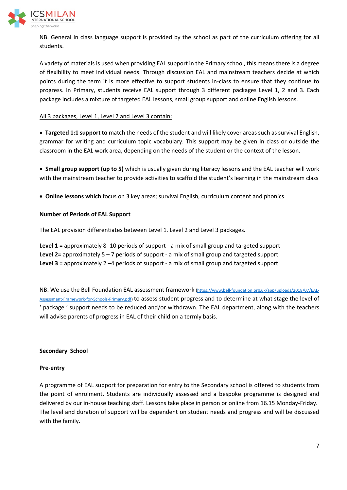

NB. General in class language support is provided by the school as part of the curriculum offering for all students.

A variety of materials is used when providing EAL support in the Primary school, this means there is a degree of flexibility to meet individual needs. Through discussion EAL and mainstream teachers decide at which points during the term it is more effective to support students in-class to ensure that they continue to progress. In Primary, students receive EAL support through 3 different packages Level 1, 2 and 3. Each package includes a mixture of targeted EAL lessons, small group support and online English lessons.

#### All 3 packages, Level 1, Level 2 and Level 3 contain:

• **Targeted 1:1 support to** match the needs of the student and will likely cover areas such as survival English, grammar for writing and curriculum topic vocabulary. This support may be given in class or outside the classroom in the EAL work area, depending on the needs of the student or the context of the lesson.

• **Small group support (up to 5)** which is usually given during literacy lessons and the EAL teacher will work with the mainstream teacher to provide activities to scaffold the student's learning in the mainstream class

• **Online lessons which** focus on 3 key areas; survival English, curriculum content and phonics

#### **Number of Periods of EAL Support**

The EAL provision differentiates between Level 1. Level 2 and Level 3 packages.

**Level 1** = approximately 8 -10 periods of support - a mix of small group and targeted support **Level 2=** approximately 5 – 7 periods of support - a mix of small group and targeted support **Level 3 =** approximately 2 –4 periods of support - a mix of small group and targeted support

NB. We use the Bell Foundation EAL assessment framework (https://www.bell-foundation.org.uk/app/uploads/2018/07/EAL-Assessment-Framework-for-Schools-Primary.pdf) to assess student progress and to determine at what stage the level of ' package ' support needs to be reduced and/or withdrawn. The EAL department, along with the teachers will advise parents of progress in EAL of their child on a termly basis.

#### **Secondary School**

#### **Pre-entry**

A programme of EAL support for preparation for entry to the Secondary school is offered to students from the point of enrolment. Students are individually assessed and a bespoke programme is designed and delivered by our in-house teaching staff. Lessons take place in person or online from 16.15 Monday-Friday. The level and duration of support will be dependent on student needs and progress and will be discussed with the family.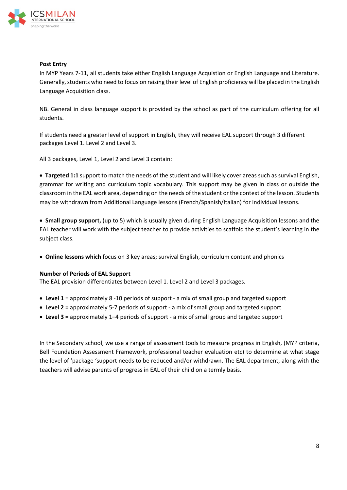

#### **Post Entry**

In MYP Years 7-11, all students take either English Language Acquistion or English Language and Literature. Generally, students who need to focus on raising their level of English proficiency will be placed in the English Language Acquisition class.

NB. General in class language support is provided by the school as part of the curriculum offering for all students.

If students need a greater level of support in English, they will receive EAL support through 3 different packages Level 1. Level 2 and Level 3.

#### All 3 packages, Level 1, Level 2 and Level 3 contain:

• **Targeted 1:1** support to match the needs of the student and will likely cover areas such as survival English, grammar for writing and curriculum topic vocabulary. This support may be given in class or outside the classroom in the EAL work area, depending on the needs of the student or the context of the lesson. Students may be withdrawn from Additional Language lessons (French/Spanish/Italian) for individual lessons.

• **Small group support,** (up to 5) which is usually given during English Language Acquisition lessons and the EAL teacher will work with the subject teacher to provide activities to scaffold the student's learning in the subject class.

• **Online lessons which** focus on 3 key areas; survival English, curriculum content and phonics

#### **Number of Periods of EAL Support**

The EAL provision differentiates between Level 1. Level 2 and Level 3 packages.

- **Level 1** = approximately 8 -10 periods of support a mix of small group and targeted support
- **Level 2 =** approximately 5-7 periods of support a mix of small group and targeted support
- **Level 3 =** approximately 1–4 periods of support a mix of small group and targeted support

In the Secondary school, we use a range of assessment tools to measure progress in English, (MYP criteria, Bell Foundation Assessment Framework, professional teacher evaluation etc) to determine at what stage the level of 'package 'support needs to be reduced and/or withdrawn. The EAL department, along with the teachers will advise parents of progress in EAL of their child on a termly basis.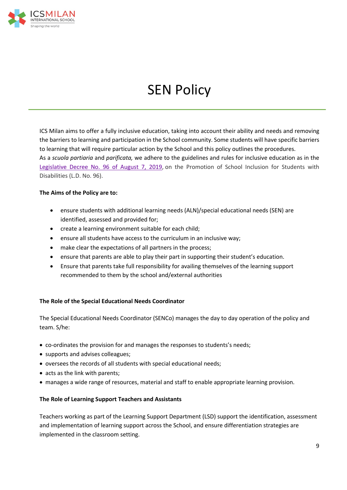

# SEN Policy

ICS Milan aims to offer a fully inclusive education, taking into account their ability and needs and removing the barriers to learning and participation in the School community. Some students will have specific barriers to learning that will require particular action by the School and this policy outlines the procedures. As a *scuola partiaria* and *parificata,* we adhere to the guidelines and rules for inclusive education as in the Legislative Decree No. 96 of August 7, 2019, on the Promotion of School Inclusion for Students with Disabilities (L.D. No. 96).

## **The Aims of the Policy are to:**

- ensure students with additional learning needs (ALN)/special educational needs (SEN) are identified, assessed and provided for;
- create a learning environment suitable for each child;
- ensure all students have access to the curriculum in an inclusive way;
- make clear the expectations of all partners in the process;
- ensure that parents are able to play their part in supporting their student's education.
- Ensure that parents take full responsibility for availing themselves of the learning support recommended to them by the school and/external authorities

#### **The Role of the Special Educational Needs Coordinator**

The Special Educational Needs Coordinator (SENCo) manages the day to day operation of the policy and team. S/he:

- co-ordinates the provision for and manages the responses to students's needs;
- supports and advises colleagues;
- oversees the records of all students with special educational needs;
- acts as the link with parents;
- manages a wide range of resources, material and staff to enable appropriate learning provision.

#### **The Role of Learning Support Teachers and Assistants**

Teachers working as part of the Learning Support Department (LSD) support the identification, assessment and implementation of learning support across the School, and ensure differentiation strategies are implemented in the classroom setting.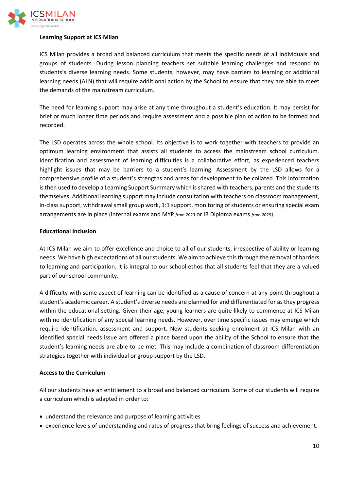

#### **Learning Support at ICS Milan**

ICS Milan provides a broad and balanced curriculum that meets the specific needs of all individuals and groups of students. During lesson planning teachers set suitable learning challenges and respond to students's diverse learning needs. Some students, however, may have barriers to learning or additional learning needs (ALN) that will require additional action by the School to ensure that they are able to meet the demands of the mainstream curriculum.

The need for learning support may arise at any time throughout a student's education. It may persist for brief or much longer time periods and require assessment and a possible plan of action to be formed and recorded.

The LSD operates across the whole school. Its objective is to work together with teachers to provide an optimum learning environment that assists all students to access the mainstream school curriculum. Identification and assessment of learning difficulties is a collaborative effort, as experienced teachers highlight issues that may be barriers to a student's learning. Assessment by the LSD allows for a comprehensive profile of a student's strengths and areas for development to be collated. This information is then used to develop a Learning Support Summary which is shared with teachers, parents and the students themselves. Additional learning support may include consultation with teachers on classroom management, in-class support, withdrawal small group work, 1:1 support, monitoring of students or ensuring special exam arrangements are in place (internal exams and MYP *from 2023* or IB Diploma exams *from 2025*).

#### **Educational Inclusion**

At ICS Milan we aim to offer excellence and choice to all of our students, irrespective of ability or learning needs. We have high expectations of all our students. We aim to achieve this through the removal of barriers to learning and participation. It is integral to our school ethos that all students feel that they are a valued part of our school community.

A difficulty with some aspect of learning can be identified as a cause of concern at any point throughout a student's academic career. A student's diverse needs are planned for and differentiated for as they progress within the educational setting. Given their age, young learners are quite likely to commence at ICS Milan with no identification of any special learning needs. However, over time specific issues may emerge which require identification, assessment and support. New students seeking enrolment at ICS Milan with an identified special needs issue are offered a place based upon the ability of the School to ensure that the student's learning needs are able to be met. This may include a combination of classroom differentiation strategies together with individual or group support by the LSD.

#### **Access to the Curriculum**

All our students have an entitlement to a broad and balanced curriculum. Some of our students will require a curriculum which is adapted in order to:

- understand the relevance and purpose of learning activities
- experience levels of understanding and rates of progress that bring feelings of success and achievement.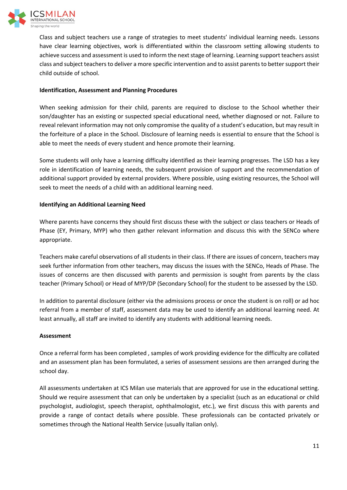

Class and subject teachers use a range of strategies to meet students' individual learning needs. Lessons have clear learning objectives, work is differentiated within the classroom setting allowing students to achieve success and assessment is used to inform the next stage of learning. Learning support teachers assist class and subject teachers to deliver a more specific intervention and to assist parents to better support their child outside of school.

#### **Identification, Assessment and Planning Procedures**

When seeking admission for their child, parents are required to disclose to the School whether their son/daughter has an existing or suspected special educational need, whether diagnosed or not. Failure to reveal relevant information may not only compromise the quality of a student's education, but may result in the forfeiture of a place in the School. Disclosure of learning needs is essential to ensure that the School is able to meet the needs of every student and hence promote their learning.

Some students will only have a learning difficulty identified as their learning progresses. The LSD has a key role in identification of learning needs, the subsequent provision of support and the recommendation of additional support provided by external providers. Where possible, using existing resources, the School will seek to meet the needs of a child with an additional learning need.

#### **Identifying an Additional Learning Need**

Where parents have concerns they should first discuss these with the subject or class teachers or Heads of Phase (EY, Primary, MYP) who then gather relevant information and discuss this with the SENCo where appropriate.

Teachers make careful observations of all students in their class. If there are issues of concern, teachers may seek further information from other teachers, may discuss the issues with the SENCo, Heads of Phase. The issues of concerns are then discussed with parents and permission is sought from parents by the class teacher (Primary School) or Head of MYP/DP (Secondary School) for the student to be assessed by the LSD.

In addition to parental disclosure (either via the admissions process or once the student is on roll) or ad hoc referral from a member of staff, assessment data may be used to identify an additional learning need. At least annually, all staff are invited to identify any students with additional learning needs.

#### **Assessment**

Once a referral form has been completed , samples of work providing evidence for the difficulty are collated and an assessment plan has been formulated, a series of assessment sessions are then arranged during the school day.

All assessments undertaken at ICS Milan use materials that are approved for use in the educational setting. Should we require assessment that can only be undertaken by a specialist (such as an educational or child psychologist, audiologist, speech therapist, ophthalmologist, etc.), we first discuss this with parents and provide a range of contact details where possible. These professionals can be contacted privately or sometimes through the National Health Service (usually Italian only).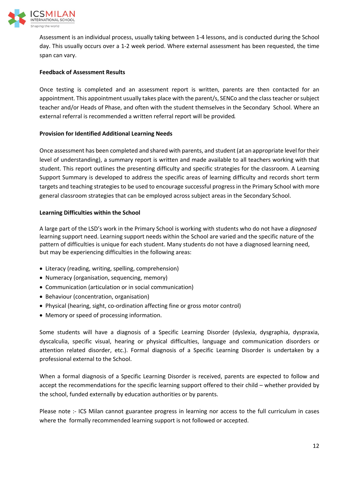

Assessment is an individual process, usually taking between 1-4 lessons, and is conducted during the School day. This usually occurs over a 1-2 week period. Where external assessment has been requested, the time span can vary.

#### **Feedback of Assessment Results**

Once testing is completed and an assessment report is written, parents are then contacted for an appointment. This appointment usually takes place with the parent/s, SENCo and the class teacher or subject teacher and/or Heads of Phase, and often with the student themselves in the Secondary School. Where an external referral is recommended a written referral report will be provided. 

#### **Provision for Identified Additional Learning Needs**

Once assessment has been completed and shared with parents, and student (at an appropriate level for their level of understanding), a summary report is written and made available to all teachers working with that student. This report outlines the presenting difficulty and specific strategies for the classroom. A Learning Support Summary is developed to address the specific areas of learning difficulty and records short term targets and teaching strategies to be used to encourage successful progress in the Primary School with more general classroom strategies that can be employed across subject areas in the Secondary School.

#### **Learning Difficulties within the School**

A large part of the LSD's work in the Primary School is working with students who do not have a *diagnosed*  learning support need. Learning support needs within the School are varied and the specific nature of the pattern of difficulties is unique for each student. Many students do not have a diagnosed learning need, but may be experiencing difficulties in the following areas:

- Literacy (reading, writing, spelling, comprehension)
- Numeracy (organisation, sequencing, memory)
- Communication (articulation or in social communication)
- Behaviour (concentration, organisation)
- Physical (hearing, sight, co-ordination affecting fine or gross motor control)
- Memory or speed of processing information.

Some students will have a diagnosis of a Specific Learning Disorder (dyslexia, dysgraphia, dyspraxia, dyscalculia, specific visual, hearing or physical difficulties, language and communication disorders or attention related disorder, etc.). Formal diagnosis of a Specific Learning Disorder is undertaken by a professional external to the School.

When a formal diagnosis of a Specific Learning Disorder is received, parents are expected to follow and accept the recommendations for the specific learning support offered to their child – whether provided by the school, funded externally by education authorities or by parents.

Please note :- ICS Milan cannot guarantee progress in learning nor access to the full curriculum in cases where the formally recommended learning support is not followed or accepted.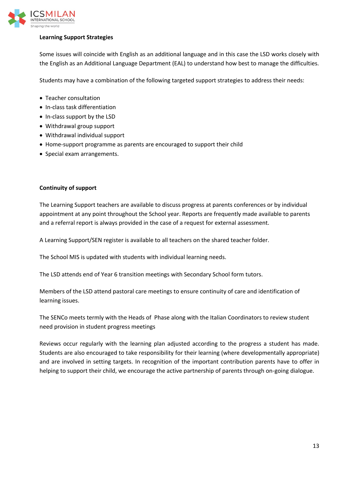

## **Learning Support Strategies**

Some issues will coincide with English as an additional language and in this case the LSD works closely with the English as an Additional Language Department (EAL) to understand how best to manage the difficulties.

Students may have a combination of the following targeted support strategies to address their needs:

- Teacher consultation
- In-class task differentiation
- In-class support by the LSD
- Withdrawal group support
- Withdrawal individual support
- Home-support programme as parents are encouraged to support their child
- Special exam arrangements.

#### **Continuity of support**

The Learning Support teachers are available to discuss progress at parents conferences or by individual appointment at any point throughout the School year. Reports are frequently made available to parents and a referral report is always provided in the case of a request for external assessment.

A Learning Support/SEN register is available to all teachers on the shared teacher folder.

The School MIS is updated with students with individual learning needs.

The LSD attends end of Year 6 transition meetings with Secondary School form tutors.

Members of the LSD attend pastoral care meetings to ensure continuity of care and identification of learning issues.

The SENCo meets termly with the Heads of Phase along with the Italian Coordinators to review student need provision in student progress meetings

Reviews occur regularly with the learning plan adjusted according to the progress a student has made. Students are also encouraged to take responsibility for their learning (where developmentally appropriate) and are involved in setting targets. In recognition of the important contribution parents have to offer in helping to support their child, we encourage the active partnership of parents through on-going dialogue.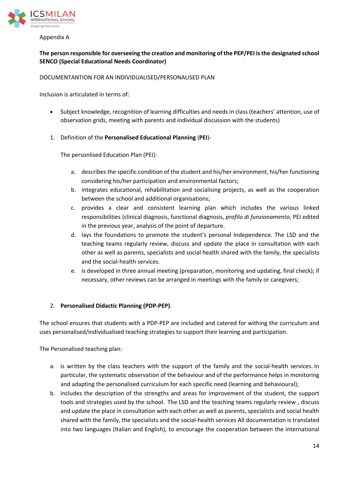

Appendix A

# **The person responsible for overseeing the creation and monitoring of the PEP/PEI is the designated school SENCO (Special Educational Needs Coordinator)**

#### DOCUMENTANTION FOR AN INDIVIDUALISED/PERSONALISED PLAN

Inclusion is articulated in terms of:

- Subject knowledge, recognition of learning difficulties and needs in class (teachers' attention, use of observation grids, meeting with parents and individual discussion with the students)
- 1. Definition of the **Personalised Educational Planning** (**PEI**)-

The personlised Education Plan (PEI):

- a. describes the specific condition of the student and his/her environment, his/her functioning considering his/her participation and environmental factors;
- b. integrates educational, rehabilitation and socialising projects, as well as the cooperation between the school and additional organisations;
- c. provides a clear and consistent learning plan which includes the various linked responsibilities (clinical diagnosis, functional diagnosis, *profilo di funzionamento*, PEI edited in the previous year, analysis of the point of departure.
- d. lays the foundations to promote the student's personal Independence. The LSD and the teaching teams regularly review, discuss and update the place in consultation with each other as well as parents, specialists and social health shared with the family, the specialists and the social-health services.
- e. is developed in three annual meeting (preparation, monitoring and updating, final check); if necessary, other reviews can be arranged in meetings with the family or caregivers;

## 2. **Personalised Didactic Planning (PDP-PEP)**.

The school ensures that students with a PDP-PEP are included and catered for withing the curriculum and uses personalised/individualised teaching strategies to support their learning and participation.

The Personalised teaching plan:

- a. is written by the class teachers with the support of the family and the social-health services. In particular, the systematic observation of the behaviour and of the performance helps in monitoring and adapting the personalised curriculum for each specific need (learning and behavioural);
- b. includes the description of the strengths and areas for improvement of the student, the support tools and strategies used by the school. The LSD and the teaching teams regularly review , discuss and update the place in consultation with each other as well as parents, specialists and social health shared with the family, the specialists and the social-health services All documentation is translated into two languages (Italian and English), to encourage the cooperation between the international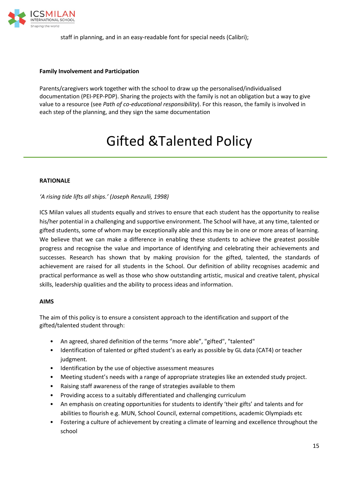

staff in planning, and in an easy-readable font for special needs (Calibri);

#### **Family Involvement and Participation**

Parents/caregivers work together with the school to draw up the personalised/individualised documentation (PEI-PEP-PDP). Sharing the projects with the family is not an obligation but a way to give value to a resource (see *Path of co-educational responsibility*). For this reason, the family is involved in each step of the planning, and they sign the same documentation

# Gifted &Talented Policy

#### **RATIONALE**

*'A rising tide lifts all ships.' (Joseph Renzulli, 1998)* 

ICS Milan values all students equally and strives to ensure that each student has the opportunity to realise his/her potential in a challenging and supportive environment. The School will have, at any time, talented or gifted students, some of whom may be exceptionally able and this may be in one or more areas of learning. We believe that we can make a difference in enabling these students to achieve the greatest possible progress and recognise the value and importance of identifying and celebrating their achievements and successes. Research has shown that by making provision for the gifted, talented, the standards of achievement are raised for all students in the School. Our definition of ability recognises academic and practical performance as well as those who show outstanding artistic, musical and creative talent, physical skills, leadership qualities and the ability to process ideas and information.

#### **AIMS**

The aim of this policy is to ensure a consistent approach to the identification and support of the gifted/talented student through:

- An agreed, shared definition of the terms "more able", "gifted", "talented"
- Identification of talented or gifted student's as early as possible by GL data (CAT4) or teacher judgment.
- Identification by the use of objective assessment measures
- Meeting student's needs with a range of appropriate strategies like an extended study project.
- Raising staff awareness of the range of strategies available to them
- Providing access to a suitably differentiated and challenging curriculum
- An emphasis on creating opportunities for students to identify 'their gifts' and talents and for abilities to flourish e.g. MUN, School Council, external competitions, academic Olympiads etc
- Fostering a culture of achievement by creating a climate of learning and excellence throughout the school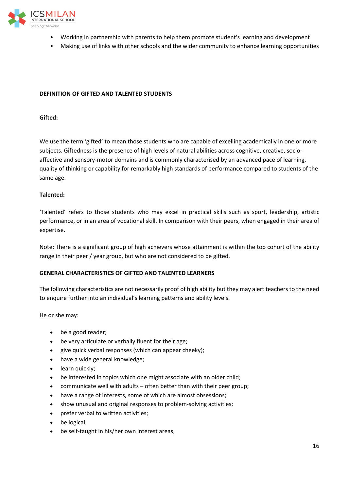

- Working in partnership with parents to help them promote student's learning and development
- Making use of links with other schools and the wider community to enhance learning opportunities

#### **DEFINITION OF GIFTED AND TALENTED STUDENTS**

#### **Gifted:**

We use the term 'gifted' to mean those students who are capable of excelling academically in one or more subjects. Giftedness is the presence of high levels of natural abilities across cognitive, creative, socioaffective and sensory-motor domains and is commonly characterised by an advanced pace of learning, quality of thinking or capability for remarkably high standards of performance compared to students of the same age.

#### **Talented:**

'Talented' refers to those students who may excel in practical skills such as sport, leadership, artistic performance, or in an area of vocational skill. In comparison with their peers, when engaged in their area of expertise.

Note: There is a significant group of high achievers whose attainment is within the top cohort of the ability range in their peer / year group, but who are not considered to be gifted.

#### **GENERAL CHARACTERISTICS OF GIFTED AND TALENTED LEARNERS**

The following characteristics are not necessarily proof of high ability but they may alert teachers to the need to enquire further into an individual's learning patterns and ability levels.

He or she may:

- be a good reader;
- be very articulate or verbally fluent for their age;
- give quick verbal responses (which can appear cheeky);
- have a wide general knowledge;
- learn quickly;
- be interested in topics which one might associate with an older child;
- communicate well with adults often better than with their peer group;
- have a range of interests, some of which are almost obsessions;
- show unusual and original responses to problem-solving activities;
- prefer verbal to written activities;
- be logical;
- be self-taught in his/her own interest areas;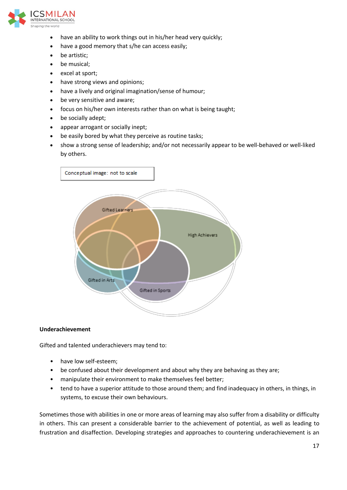

- have an ability to work things out in his/her head very quickly;
- have a good memory that s/he can access easily;
- be artistic;
- be musical;
- excel at sport;
- have strong views and opinions;
- have a lively and original imagination/sense of humour;
- be very sensitive and aware;
- focus on his/her own interests rather than on what is being taught;
- be socially adept;
- appear arrogant or socially inept;
- be easily bored by what they perceive as routine tasks;
- show a strong sense of leadership; and/or not necessarily appear to be well-behaved or well-liked by others.



#### **Underachievement**

Gifted and talented underachievers may tend to:

- have low self-esteem;
- be confused about their development and about why they are behaving as they are;
- manipulate their environment to make themselves feel better;
- tend to have a superior attitude to those around them; and find inadequacy in others, in things, in systems, to excuse their own behaviours.

Sometimes those with abilities in one or more areas of learning may also suffer from a disability or difficulty in others. This can present a considerable barrier to the achievement of potential, as well as leading to frustration and disaffection. Developing strategies and approaches to countering underachievement is an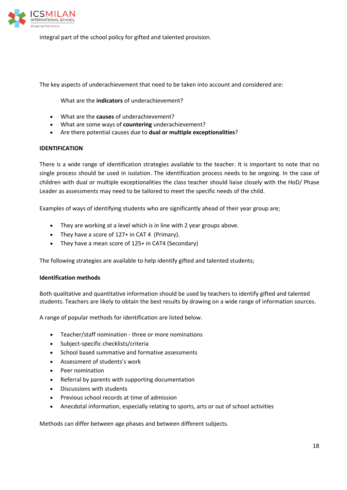

integral part of the school policy for gifted and talented provision.

The key aspects of underachievement that need to be taken into account and considered are:

What are the **indicators** of underachievement?

- What are the **causes** of underachievement?
- What are some ways of **countering** underachievement?
- Are there potential causes due to **dual or multiple exceptionalities**?

#### **IDENTIFICATION**

There is a wide range of identification strategies available to the teacher. It is important to note that no single process should be used in isolation. The identification process needs to be ongoing. In the case of children with dual or multiple exceptionalities the class teacher should liaise closely with the HoD/ Phase Leader as assessments may need to be tailored to meet the specific needs of the child.

Examples of ways of identifying students who are significantly ahead of their year group are;

- They are working at a level which is in line with 2 year groups above.
- They have a score of 127+ in CAT 4 (Primary).
- They have a mean score of 125+ in CAT4 (Secondary)

The following strategies are available to help identify gifted and talented students;

#### **Identification methods**

Both qualitative and quantitative information should be used by teachers to identify gifted and talented students. Teachers are likely to obtain the best results by drawing on a wide range of information sources.

A range of popular methods for identification are listed below.

- Teacher/staff nomination three or more nominations
- Subject-specific checklists/criteria
- School based summative and formative assessments
- Assessment of students's work
- Peer nomination
- Referral by parents with supporting documentation
- Discussions with students
- Previous school records at time of admission
- Anecdotal information, especially relating to sports, arts or out of school activities

Methods can differ between age phases and between different subjects.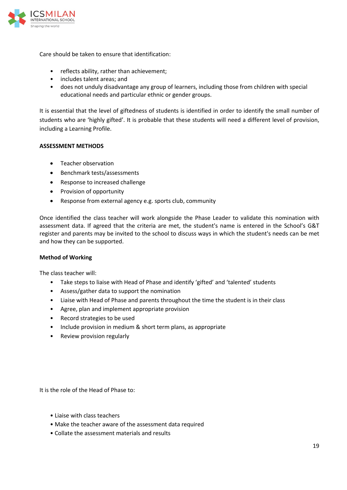

Care should be taken to ensure that identification:

- reflects ability, rather than achievement;
- includes talent areas; and
- does not unduly disadvantage any group of learners, including those from children with special educational needs and particular ethnic or gender groups.

It is essential that the level of giftedness of students is identified in order to identify the small number of students who are 'highly gifted'. It is probable that these students will need a different level of provision, including a Learning Profile.

#### **ASSESSMENT METHODS**

- Teacher observation
- Benchmark tests/assessments
- Response to increased challenge
- Provision of opportunity
- Response from external agency e.g. sports club, community

Once identified the class teacher will work alongside the Phase Leader to validate this nomination with assessment data. If agreed that the criteria are met, the student's name is entered in the School's G&T register and parents may be invited to the school to discuss ways in which the student's needs can be met and how they can be supported.

#### **Method of Working**

The class teacher will:

- Take steps to liaise with Head of Phase and identify 'gifted' and 'talented' students
- Assess/gather data to support the nomination
- Liaise with Head of Phase and parents throughout the time the student is in their class
- Agree, plan and implement appropriate provision
- Record strategies to be used
- Include provision in medium & short term plans, as appropriate
- Review provision regularly

It is the role of the Head of Phase to:

- Liaise with class teachers
- Make the teacher aware of the assessment data required
- Collate the assessment materials and results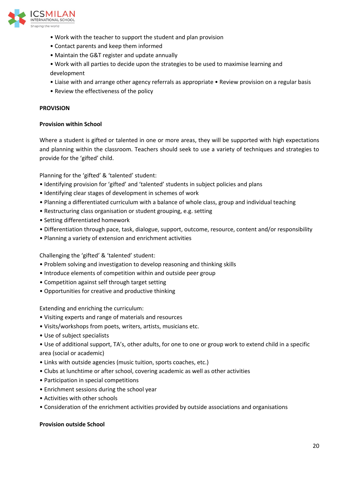

- Work with the teacher to support the student and plan provision
- Contact parents and keep them informed
- Maintain the G&T register and update annually
- Work with all parties to decide upon the strategies to be used to maximise learning and development
- Liaise with and arrange other agency referrals as appropriate Review provision on a regular basis
- Review the effectiveness of the policy

#### **PROVISION**

#### **Provision within School**

Where a student is gifted or talented in one or more areas, they will be supported with high expectations and planning within the classroom. Teachers should seek to use a variety of techniques and strategies to provide for the 'gifted' child.

Planning for the 'gifted' & 'talented' student:

- Identifying provision for 'gifted' and 'talented' students in subject policies and plans
- Identifying clear stages of development in schemes of work
- Planning a differentiated curriculum with a balance of whole class, group and individual teaching
- Restructuring class organisation or student grouping, e.g. setting
- Setting differentiated homework
- Differentiation through pace, task, dialogue, support, outcome, resource, content and/or responsibility
- Planning a variety of extension and enrichment activities

Challenging the 'gifted' & 'talented' student:

- Problem solving and investigation to develop reasoning and thinking skills
- Introduce elements of competition within and outside peer group
- Competition against self through target setting
- Opportunities for creative and productive thinking

Extending and enriching the curriculum:

- Visiting experts and range of materials and resources
- Visits/workshops from poets, writers, artists, musicians etc.
- Use of subject specialists

• Use of additional support, TA's, other adults, for one to one or group work to extend child in a specific area (social or academic)

- Links with outside agencies (music tuition, sports coaches, etc.)
- Clubs at lunchtime or after school, covering academic as well as other activities
- Participation in special competitions
- Enrichment sessions during the school year
- Activities with other schools
- Consideration of the enrichment activities provided by outside associations and organisations

#### **Provision outside School**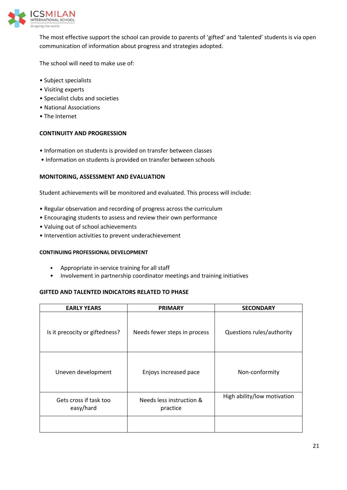

The most effective support the school can provide to parents of 'gifted' and 'talented' students is via open communication of information about progress and strategies adopted.

The school will need to make use of:

- Subject specialists
- Visiting experts
- Specialist clubs and societies
- National Associations
- The Internet

#### **CONTINUITY AND PROGRESSION**

- Information on students is provided on transfer between classes
- Information on students is provided on transfer between schools

#### **MONITORING, ASSESSMENT AND EVALUATION**

Student achievements will be monitored and evaluated. This process will include:

- Regular observation and recording of progress across the curriculum
- Encouraging students to assess and review their own performance
- Valuing out of school achievements
- Intervention activities to prevent underachievement

#### **CONTINUING PROFESSIONAL DEVELOPMENT**

- Appropriate in-service training for all staff
- Involvement in partnership coordinator meetings and training initiatives

#### **GIFTED AND TALENTED INDICATORS RELATED TO PHASE**

| <b>EARLY YEARS</b>                  | <b>PRIMARY</b>                       | <b>SECONDARY</b>            |
|-------------------------------------|--------------------------------------|-----------------------------|
| Is it precocity or giftedness?      | Needs fewer steps in process         | Questions rules/authority   |
| Uneven development                  | Enjoys increased pace                | Non-conformity              |
| Gets cross if task too<br>easy/hard | Needs less instruction &<br>practice | High ability/low motivation |
|                                     |                                      |                             |